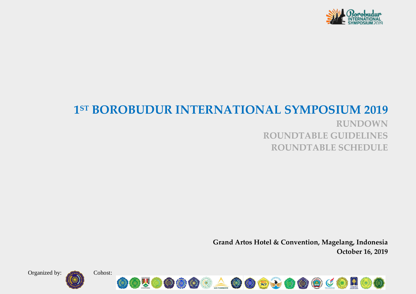

# **1 ST BOROBUDUR INTERNATIONAL SYMPOSIUM 2019**

**RUNDOWN ROUNDTABLE GUIDELINES ROUNDTABLE SCHEDULE**

**Grand Artos Hotel & Convention, Magelang, Indonesia October 16, 2019**

Organized by: Cohost:



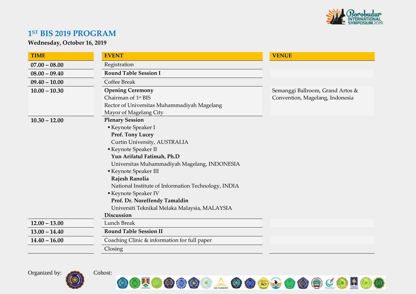

### **1 ST BIS 2019 PROGRAM**

**Wednesday, October 16, 2019** 

| <b>TIME</b>     | <b>EVENT</b>                                        | <b>VENUE</b>                     |
|-----------------|-----------------------------------------------------|----------------------------------|
| $07.00 - 08.00$ | Registration                                        |                                  |
| $08.00 - 09.40$ | <b>Round Table Session I</b>                        |                                  |
| $09.40 - 10.00$ | <b>Coffee Break</b>                                 |                                  |
| $10.00 - 10.30$ | <b>Opening Ceremony</b>                             | Semanggi Ballroom, Grand Artos & |
|                 | Chairman of 1 <sup>st</sup> BIS                     | Convention, Magelang, Indonesia  |
|                 | Rector of Universitas Muhammadiyah Magelang         |                                  |
|                 | Mayor of Magelang City                              |                                  |
| $10.30 - 12.00$ | <b>Plenary Session</b>                              |                                  |
|                 | Keynote Speaker I                                   |                                  |
|                 | Prof. Tony Lucey                                    |                                  |
|                 | Curtin University, AUSTRALIA                        |                                  |
|                 | Keynote Speaker II                                  |                                  |
|                 | Yun Arifatul Fatimah, Ph.D                          |                                  |
|                 | Universitas Muhammadiyah Magelang, INDONESIA        |                                  |
|                 | Keynote Speaker III                                 |                                  |
|                 | Rajesh Ranolia                                      |                                  |
|                 | National Institute of Information Technology, INDIA |                                  |
|                 | Keynote Speaker IV                                  |                                  |
|                 | Prof. Dr. Noreffendy Tamaldin                       |                                  |
|                 | Universiti Teknikal Melaka Malaysia, MALAYSIA       |                                  |
|                 | Discussion                                          |                                  |
| $12.00 - 13.00$ | Lunch Break                                         |                                  |
| $13.00 - 14.40$ | <b>Round Table Session II</b>                       |                                  |
| $14.40 - 16.00$ | Coaching Clinic & information for full paper        |                                  |
|                 | Closing                                             |                                  |

Organized by: Cohost:



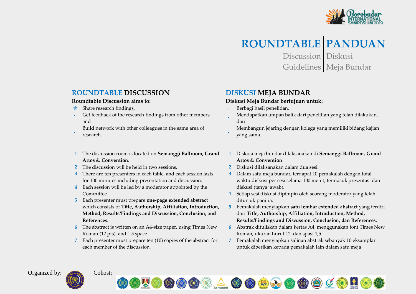

# **ROUNDTABLE PANDUAN**

Discussion Diskusi Guidelines Meja Bundar

### **ROUNDTABLE DISCUSSION**

#### **Roundtable Discussion aims to:**

- $\cdot$  Share research findings,
- Get feedback of the research findings from other members,  $\mathbf{r}$ and
- Build network with other colleagues in the same area of research.
- **1** The discussion room is located on **Semanggi Ballroom, Grand Artos & Convention**.
- **2** The discussion will be held in two sessions.
- **3** There are ten presenters in each table, and each session lasts for 100 minutes including presentation and discussion.
- **4** Each session will be led by a moderator appointed by the Committee.
- **5** Each presenter must prepare **one-page extended abstract** which consists of **Title, Authorship, Affiliation, Introduction, Method, Results/Findings and Discussion, Conclusion, and References**.
- **6** The abstract is written on an A4-size paper, using Times New Roman (12 pts), and 1.5 space.
- **7** Each presenter must prepare ten (10) copies of the abstract for each member of the discussion.

### **DISKUSI MEJA BUNDAR**

#### **Diskusi Meja Bundar bertujuan untuk:**

- Berbagi hasil penelitian,
- Mendapatkan umpan balik dari penelitian yang telah dilakukan, dan
- Membangun jejaring dengan kolega yang memiliki bidang kajian yang sama.
- **1** Diskusi meja bundar dilaksanakan di **Semanggi Ballroom, Grand Artos & Convention**
- **2** Diskusi dilaksanakan dalam dua sesi.
- **3** Dalam satu meja bundar, terdapat 10 pemakalah dengan total waktu diskusi per sesi selama 100 menit, termasuk presentasi dan diskusi (tanya jawab).
- **4** Setiap sesi diskusi dipimpin oleh seorang moderator yang telah ditunjuk panitia.
- **5** Pemakalah menyiapkan **satu lembar extended abstract** yang terdiri dari **Title, Authorship, Affiliation, Introduction, Method, Results/Findings and Discussion, Conclusion, dan References**.
- **6** Abstrak dituliskan dalam kertas A4, menggunakan font Times New Roman, ukuran huruf 12, dan spasi 1,5.
- **7** Pemakalah menyiapkan salinan abstrak sebanyak 10 eksamplar untuk diberikan kepada pemakalah lain dalam satu meja





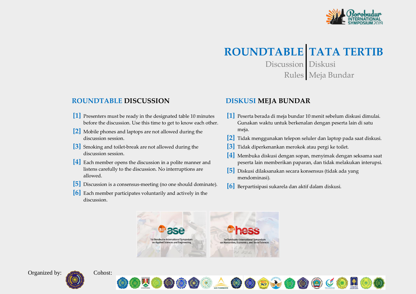

# **ROUNDTABLE TATA TERTIB**

Discussion Diskusi Rules Meja Bundar

#### **ROUNDTABLE DISCUSSION**

- **[1]** Presenters must be ready in the designated table 10 minutes before the discussion. Use this time to get to know each other.
- **[2]** Mobile phones and laptops are not allowed during the discussion session.
- **[3]** Smoking and toilet-break are not allowed during the discussion session.
- **[4]** Each member opens the discussion in a polite manner and listens carefully to the discussion. No interruptions are allowed.
- **[5]** Discussion is a consensus-meeting (no one should dominate).
- **[6]** Each member participates voluntarily and actively in the discussion.

#### **DISKUSI MEJA BUNDAR**

- **[1]** Peserta berada di meja bundar 10 menit sebelum diskusi dimulai. Gunakan waktu untuk berkenalan dengan peserta lain di satu meja.
- **[2]** Tidak menggunakan telepon seluler dan laptop pada saat diskusi.
- **[3]** Tidak diperkenankan merokok atau pergi ke toilet.
- **[4]** Membuka diskusi dengan sopan, menyimak dengan seksama saat peserta lain memberikan paparan, dan tidak melakukan interupsi.
- **[5]** Diskusi dilaksanakan secara konsensus (tidak ada yang mendominasi).
- **[6]** Berpartisipasi sukarela dan aktif dalam diskusi.







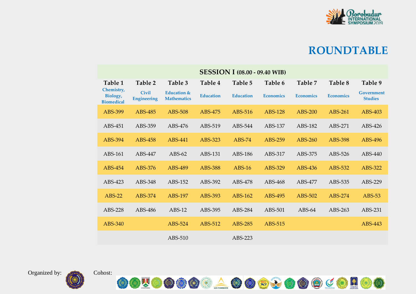

| <b>SESSION I (08.00 - 09.40 WIB)</b>        |                                    |                                              |                  |                  |                  |                  |                  |                              |  |  |  |
|---------------------------------------------|------------------------------------|----------------------------------------------|------------------|------------------|------------------|------------------|------------------|------------------------------|--|--|--|
| Table 1                                     | Table 2                            | Table 3                                      | Table 4          | Table 5          | Table 6          | Table 7          | Table 8          | Table 9                      |  |  |  |
| Chemistry,<br>Biology,<br><b>Biomedical</b> | <b>Civil</b><br><b>Engineering</b> | <b>Education &amp;</b><br><b>Mathematics</b> | <b>Education</b> | <b>Education</b> | <b>Economics</b> | <b>Economics</b> | <b>Economics</b> | Government<br><b>Studies</b> |  |  |  |
| ABS-399                                     | ABS-485                            | ABS-508                                      | ABS-475          | ABS-516          | <b>ABS-128</b>   | ABS-200          | ABS-261          | ABS-403                      |  |  |  |
| ABS-451                                     | ABS-359                            | ABS-476                                      | ABS-519          | ABS-544          | ABS-137          | ABS-182          | ABS-271          | ABS-426                      |  |  |  |
| ABS-394                                     | ABS-458                            | ABS-441                                      | ABS-323          | $ABS-74$         | ABS-259          | ABS-260          | ABS-398          | ABS-496                      |  |  |  |
| ABS-161                                     | ABS-447                            | $ABS-62$                                     | ABS-131          | ABS-186          | ABS-317          | ABS-375          | ABS-526          | ABS-440                      |  |  |  |
| ABS-454                                     | ABS-376                            | ABS-489                                      | ABS-388          | <b>ABS-16</b>    | ABS-329          | ABS-436          | ABS-532          | ABS-322                      |  |  |  |
| ABS-423                                     | ABS-348                            | ABS-152                                      | ABS-392          | ABS-478          | ABS-468          | ABS-477          | ABS-535          | ABS-229                      |  |  |  |
| $ABS-22$                                    | ABS-374                            | ABS-197                                      | ABS-393          | ABS-162          | ABS-495          | ABS-502          | ABS-274          | $ABS-53$                     |  |  |  |
| ABS-228                                     | ABS-486                            | $ABS-12$                                     | ABS-395          | ABS-284          | ABS-501          | $ABS-64$         | ABS-263          | ABS-231                      |  |  |  |
| ABS-340                                     |                                    | ABS-524                                      | ABS-512          | ABS-285          | ABS-515          |                  |                  | ABS-443                      |  |  |  |
|                                             |                                    | ABS-510                                      |                  | ABS-223          |                  |                  |                  |                              |  |  |  |

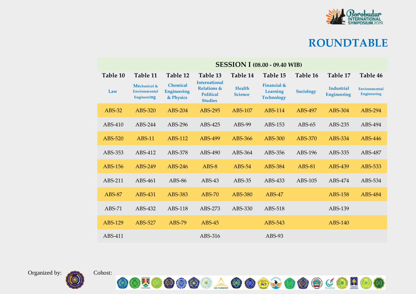

|               | <b>SESSION I (08.00 - 09.40 WIB)</b>                |                                                    |                                                                                      |                                 |                                              |               |                                         |                                     |  |  |  |
|---------------|-----------------------------------------------------|----------------------------------------------------|--------------------------------------------------------------------------------------|---------------------------------|----------------------------------------------|---------------|-----------------------------------------|-------------------------------------|--|--|--|
| Table 10      | Table 11                                            | Table 12                                           | Table 13                                                                             | Table 14                        | Table 15                                     | Table 16      | Table 17                                | Table 46                            |  |  |  |
| Law           | Mechanical &<br><b>Environmental</b><br>Engineering | <b>Chemical</b><br><b>Engineering</b><br>& Physics | <b>International</b><br><b>Relations &amp;</b><br><b>Political</b><br><b>Studies</b> | <b>Health</b><br><b>Science</b> | Financial &<br>Learning<br><b>Technology</b> | Sociology     | <b>Industrial</b><br><b>Engineering</b> | Environmental<br><b>Engineering</b> |  |  |  |
| $ABS-32$      | ABS-320                                             | $ABS-204$                                          | ABS-295                                                                              | ABS-107                         | ABS-114                                      | ABS-497       | ABS-304                                 | ABS-294                             |  |  |  |
| ABS-410       | ABS-244                                             | ABS-296                                            | ABS-425                                                                              | ABS-99                          | ABS-153                                      | $ABS-65$      | ABS-235                                 | ABS-494                             |  |  |  |
| ABS-520       | $ABS-11$                                            | ABS-112                                            | ABS-499                                                                              | ABS-366                         | ABS-300                                      | ABS-370       | ABS-334                                 | ABS-446                             |  |  |  |
| ABS-353       | ABS-412                                             | ABS-378                                            | ABS-490                                                                              | ABS-364                         | ABS-356                                      | ABS-196       | ABS-335                                 | ABS-487                             |  |  |  |
| ABS-156       | ABS-249                                             | ABS-246                                            | $ABS-8$                                                                              | $ABS-54$                        | ABS-384                                      | <b>ABS-81</b> | ABS-439                                 | ABS-533                             |  |  |  |
| ABS-211       | ABS-461                                             | ABS-86                                             | $ABS-43$                                                                             | $ABS-35$                        | ABS-433                                      | ABS-105       | ABS-474                                 | ABS-534                             |  |  |  |
| <b>ABS-87</b> | ABS-431                                             | ABS-383                                            | $ABS-70$                                                                             | ABS-380                         | $ABS-47$                                     |               | ABS-158                                 | ABS-484                             |  |  |  |
| $ABS-71$      | ABS-432                                             | ABS-118                                            | ABS-273                                                                              | ABS-330                         | ABS-518                                      |               | ABS-139                                 |                                     |  |  |  |
| ABS-129       | ABS-527                                             | ABS-79                                             | $ABS-45$                                                                             |                                 | ABS-543                                      |               | ABS-140                                 |                                     |  |  |  |
| ABS-411       |                                                     |                                                    | ABS-316                                                                              |                                 | $ABS-93$                                     |               |                                         |                                     |  |  |  |

OOUOOOOAOOOXOOOCOROO

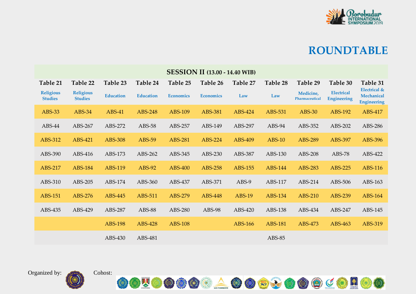

| <b>SESSION II (13.00 - 14.40 WIB)</b> |                                    |                  |                  |                  |                  |               |                |                             |                                         |                                                             |
|---------------------------------------|------------------------------------|------------------|------------------|------------------|------------------|---------------|----------------|-----------------------------|-----------------------------------------|-------------------------------------------------------------|
| Table 21                              | Table 22                           | Table 23         | Table 24         | Table 25         | Table 26         | Table 27      | Table 28       | Table 29                    | Table 30                                | Table 31                                                    |
| <b>Religious</b><br><b>Studies</b>    | <b>Religious</b><br><b>Studies</b> | <b>Education</b> | <b>Education</b> | <b>Economics</b> | <b>Economics</b> | Law           | Law            | Medicine,<br>Pharmaceutical | <b>Electrical</b><br><b>Engineering</b> | <b>Electrical &amp;</b><br>Mechanical<br><b>Engineering</b> |
| ABS-33                                | ABS-34                             | ABS-41           | ABS-248          | ABS-109          | ABS-381          | ABS-424       | ABS-531        | <b>ABS-30</b>               | ABS-192                                 | ABS-417                                                     |
| ABS-44                                | ABS-267                            | ABS-272          | ABS-58           | ABS-257          | ABS-149          | ABS-297       | $ABS-94$       | ABS-352                     | ABS-202                                 | ABS-286                                                     |
| ABS-312                               | ABS-421                            | ABS-308          | <b>ABS-59</b>    | <b>ABS-281</b>   | ABS-224          | ABS-409       | $ABS-10$       | ABS-289                     | ABS-397                                 | ABS-396                                                     |
| ABS-390                               | ABS-416                            | ABS-173          | ABS-262          | ABS-345          | ABS-230          | ABS-387       | ABS-130        | ABS-208                     | ABS-78                                  | ABS-422                                                     |
| ABS-217                               | <b>ABS-184</b>                     | ABS-119          | ABS-92           | ABS-400          | <b>ABS-258</b>   | ABS-155       | ABS-144        | ABS-283                     | ABS-225                                 | <b>ABS-116</b>                                              |
| ABS-310                               | ABS-205                            | ABS-174          | ABS-360          | ABS-437          | ABS-371          | ABS-9         | ABS-117        | ABS-214                     | ABS-506                                 | ABS-163                                                     |
| ABS-151                               | ABS-276                            | ABS-445          | ABS-511          | ABS-279          | ABS-448          | <b>ABS-19</b> | ABS-134        | ABS-210                     | ABS-239                                 | ABS-164                                                     |
| ABS-435                               | ABS-429                            | ABS-287          | ABS-88           | ABS-280          | ABS-98           | ABS-420       | ABS-138        | ABS-434                     | ABS-247                                 | ABS-145                                                     |
|                                       |                                    | <b>ABS-198</b>   | ABS-428          | <b>ABS-108</b>   |                  | ABS-166       | <b>ABS-181</b> | ABS-473                     | ABS-463                                 | ABS-319                                                     |
|                                       |                                    | ABS-430          | ABS-481          |                  |                  |               | ABS-85         |                             |                                         |                                                             |



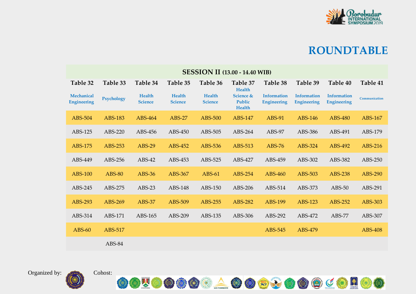

| <b>SESSION II (13.00 - 14.40 WIB)</b> |                |                          |                          |                                 |                                                       |                                          |                                          |                                          |                |  |  |
|---------------------------------------|----------------|--------------------------|--------------------------|---------------------------------|-------------------------------------------------------|------------------------------------------|------------------------------------------|------------------------------------------|----------------|--|--|
| Table 32                              | Table 33       | Table 34                 | Table 35                 | Table 36                        | Table 37                                              | Table 38                                 | Table 39                                 | Table 40                                 | Table 41       |  |  |
| Mechanical<br><b>Engineering</b>      | Psychology     | Health<br><b>Science</b> | Health<br><b>Science</b> | <b>Health</b><br><b>Science</b> | <b>Health</b><br>Science &<br>Public<br><b>Health</b> | <b>Information</b><br><b>Engineering</b> | <b>Information</b><br><b>Engineering</b> | <b>Information</b><br><b>Engineering</b> | Communication  |  |  |
| ABS-504                               | <b>ABS-183</b> | ABS-464                  | <b>ABS-27</b>            | ABS-500                         | <b>ABS-147</b>                                        | ABS-91                                   | ABS-146                                  | ABS-480                                  | ABS-167        |  |  |
| ABS-125                               | ABS-220        | ABS-456                  | ABS-450                  | ABS-505                         | ABS-264                                               | $ABS-97$                                 | ABS-386                                  | ABS-491                                  | ABS-179        |  |  |
| ABS-175                               | ABS-253        | <b>ABS-29</b>            | ABS-452                  | ABS-536                         | ABS-513                                               | <b>ABS-76</b>                            | ABS-324                                  | ABS-492                                  | ABS-216        |  |  |
| ABS-449                               | ABS-256        | $ABS-42$                 | ABS-453                  | ABS-525                         | ABS-427                                               | ABS-459                                  | ABS-302                                  | ABS-382                                  | ABS-250        |  |  |
| <b>ABS-100</b>                        | <b>ABS-80</b>  | <b>ABS-36</b>            | ABS-367                  | $ABS-61$                        | ABS-254                                               | ABS-460                                  | ABS-503                                  | ABS-238                                  | ABS-290        |  |  |
| ABS-245                               | ABS-275        | $ABS-23$                 | ABS-148                  | ABS-150                         | ABS-206                                               | ABS-514                                  | ABS-373                                  | $ABS-50$                                 | ABS-291        |  |  |
| ABS-293                               | ABS-269        | <b>ABS-37</b>            | ABS-509                  | ABS-255                         | ABS-282                                               | ABS-199                                  | ABS-123                                  | ABS-252                                  | ABS-303        |  |  |
| ABS-314                               | ABS-171        | ABS-165                  | ABS-209                  | ABS-135                         | ABS-306                                               | ABS-292                                  | ABS-472                                  | <b>ABS-77</b>                            | ABS-307        |  |  |
| $ABS-60$                              | ABS-517        |                          |                          |                                 |                                                       | ABS-545                                  | ABS-479                                  |                                          | <b>ABS-408</b> |  |  |
|                                       | ABS-84         |                          |                          |                                 |                                                       |                                          |                                          |                                          |                |  |  |

OOUOOOOAOOGJOOOCOROO